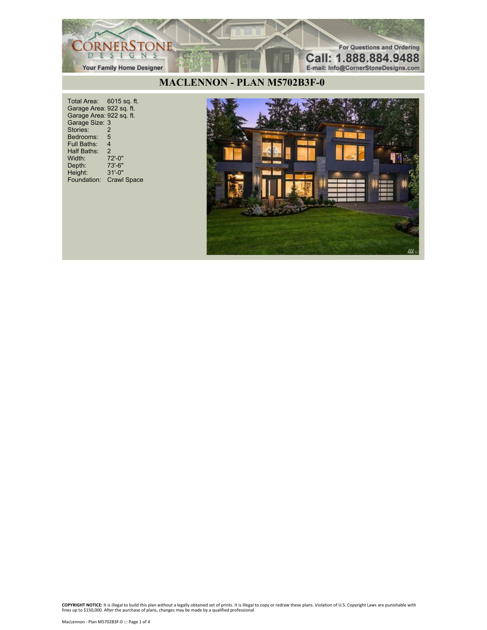

## **MACLENNON - PLAN M5702B3F-0**

Total Area: 6015 sq. ft. Garage Area: 922 sq. ft. Garage Area: 922 sq. ft. Garage Size: 3 Stories: 2 Bedrooms: 5<br>Full Baths: 4 Full Baths: 4 Half Baths: 2 Width: 72'-0"<br>Depth: 73'-6" Depth: 73'-6" Height: 31'-0" Foundation: Crawl Space

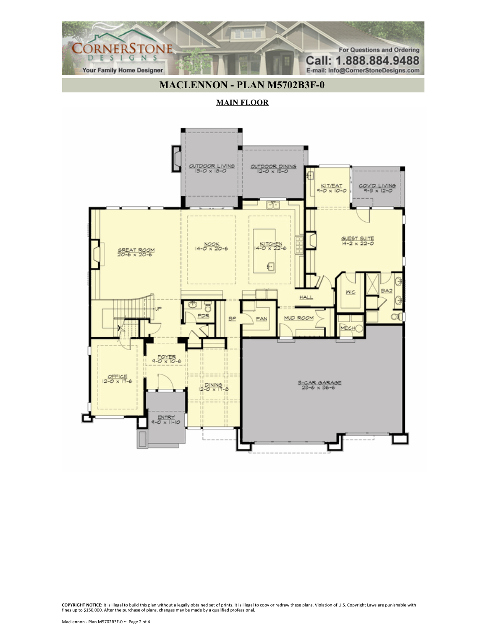## **MACLENNON - PLAN M5702B3F-0**

For Questions and Ordering

Call: 1.888.884.9488

E-mail: Info@CornerStoneDesigns.com

CORNERSTONE

**Your Family Home Designer** 

#### **MAIN FLOOR**

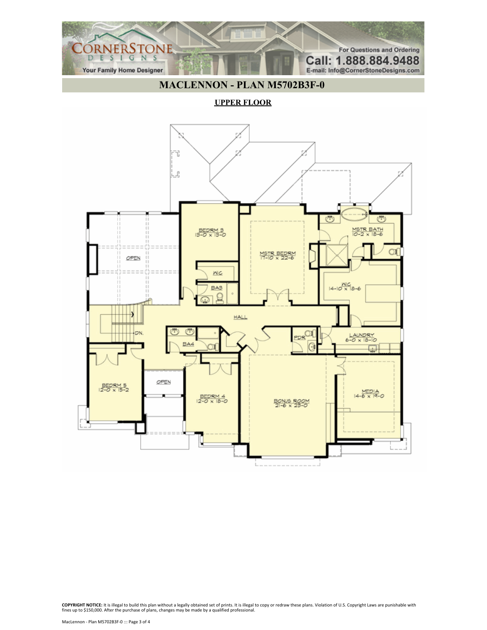### **MACLENNON - PLAN M5702B3F-0**

For Questions and Ordering

Call: 1.888.884.9488

E-mail: Info@CornerStoneDesigns.com

CORNERSTONE

**Your Family Home Designer** 

**UPPER FLOOR**